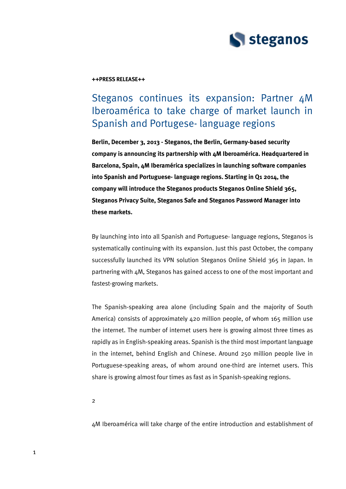

## **++PRESS RELEASE++**

# Steganos continues its expansion: Partner 4M Iberoamérica to take charge of market launch in Spanish and Portugese- language regions

**Berlin, December 3, 2013 - Steganos, the Berlin, Germany-based security company is announcing its partnership with 4M Iberoamérica. Headquartered in Barcelona, Spain, 4M Iberamérica specializes in launching software companies into Spanish and Portuguese- language regions. Starting in Q1 2014, the company will introduce the Steganos products Steganos Online Shield 365, Steganos Privacy Suite, Steganos Safe and Steganos Password Manager into these markets.**

By launching into into all Spanish and Portuguese- language regions, Steganos is systematically continuing with its expansion. Just this past October, the company successfully launched its VPN solution Steganos Online Shield 365 in Japan. In partnering with 4M, Steganos has gained access to one of the most important and fastest-growing markets.

The Spanish-speaking area alone (including Spain and the majority of South America) consists of approximately 420 million people, of whom 165 million use the internet. The number of internet users here is growing almost three times as rapidly as in English-speaking areas. Spanish is the third most important language in the internet, behind English and Chinese. Around 250 million people live in Portuguese-speaking areas, of whom around one-third are internet users. This share is growing almost four times as fast as in Spanish-speaking regions.

2

4M Iberoamérica will take charge of the entire introduction and establishment of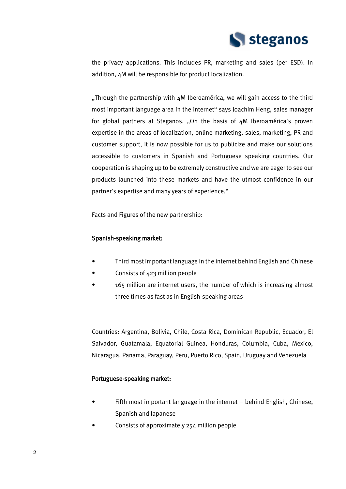

the privacy applications. This includes PR, marketing and sales (per ESD). In addition, 4M will be responsible for product localization.

. Through the partnership with  $4M$  Iberoamérica, we will gain access to the third most important language area in the internet" says Joachim Heng, sales manager for global partners at Steganos. "On the basis of 4M Iberoamérica's proven expertise in the areas of localization, online-marketing, sales, marketing, PR and customer support, it is now possible for us to publicize and make our solutions accessible to customers in Spanish and Portuguese speaking countries. Our cooperation is shaping up to be extremely constructive and we are eager to see our products launched into these markets and have the utmost confidence in our partner's expertise and many years of experience."

Facts and Figures of the new partnership:

## Spanish-speaking market:

- Third most important language in the internet behind English and Chinese
- Consists of 423 million people
- 165 million are internet users, the number of which is increasing almost three times as fast as in English-speaking areas

Countries: Argentina, Bolivia, Chile, Costa Rica, Dominican Republic, Ecuador, El Salvador, Guatamala, Equatorial Guinea, Honduras, Columbia, Cuba, Mexico, Nicaragua, Panama, Paraguay, Peru, Puerto Rico, Spain, Uruguay and Venezuela

## Portuguese-speaking market:

- Fifth most important language in the internet behind English, Chinese, Spanish and Japanese
- Consists of approximately 254 million people